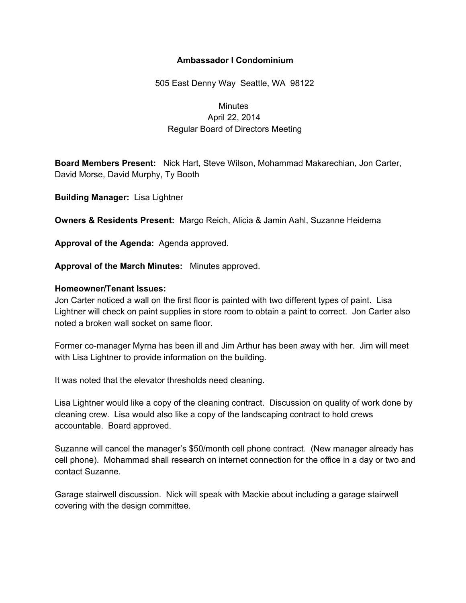## **Ambassador I Condominium**

505 East Denny Way Seattle, WA 98122

# **Minutes** April 22, 2014 Regular Board of Directors Meeting

**Board Members Present:** Nick Hart, Steve Wilson, Mohammad Makarechian, Jon Carter, David Morse, David Murphy, Ty Booth

**Building Manager:** Lisa Lightner

**Owners & Residents Present:** Margo Reich, Alicia & Jamin Aahl, Suzanne Heidema

**Approval of the Agenda:** Agenda approved.

**Approval of the March Minutes:** Minutes approved.

#### **Homeowner/Tenant Issues:**

Jon Carter noticed a wall on the first floor is painted with two different types of paint. Lisa Lightner will check on paint supplies in store room to obtain a paint to correct. Jon Carter also noted a broken wall socket on same floor.

Former co-manager Myrna has been ill and Jim Arthur has been away with her. Jim will meet with Lisa Lightner to provide information on the building.

It was noted that the elevator thresholds need cleaning.

Lisa Lightner would like a copy of the cleaning contract. Discussion on quality of work done by cleaning crew. Lisa would also like a copy of the landscaping contract to hold crews accountable. Board approved.

Suzanne will cancel the manager's \$50/month cell phone contract. (New manager already has cell phone). Mohammad shall research on internet connection for the office in a day or two and contact Suzanne.

Garage stairwell discussion. Nick will speak with Mackie about including a garage stairwell covering with the design committee.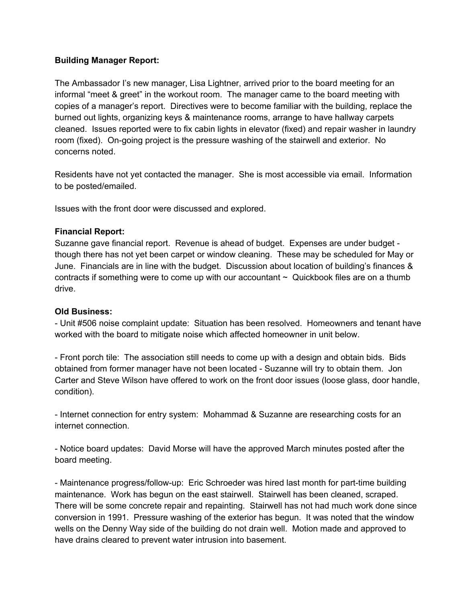## **Building Manager Report:**

The Ambassador I's new manager, Lisa Lightner, arrived prior to the board meeting for an informal "meet & greet" in the workout room. The manager came to the board meeting with copies of a manager's report. Directives were to become familiar with the building, replace the burned out lights, organizing keys & maintenance rooms, arrange to have hallway carpets cleaned. Issues reported were to fix cabin lights in elevator (fixed) and repair washer in laundry room (fixed). On-going project is the pressure washing of the stairwell and exterior. No concerns noted.

Residents have not yet contacted the manager. She is most accessible via email. Information to be posted/emailed.

Issues with the front door were discussed and explored.

## **Financial Report:**

Suzanne gave financial report. Revenue is ahead of budget. Expenses are under budget though there has not yet been carpet or window cleaning. These may be scheduled for May or June. Financials are in line with the budget. Discussion about location of building's finances & contracts if something were to come up with our accountant  $\sim$  Quickbook files are on a thumb drive.

## **Old Business:**

 Unit #506 noise complaint update: Situation has been resolved. Homeowners and tenant have worked with the board to mitigate noise which affected homeowner in unit below.

 Front porch tile: The association still needs to come up with a design and obtain bids. Bids obtained from former manager have not been located - Suzanne will try to obtain them. Jon Carter and Steve Wilson have offered to work on the front door issues (loose glass, door handle, condition).

- Internet connection for entry system: Mohammad & Suzanne are researching costs for an internet connection.

 Notice board updates: David Morse will have the approved March minutes posted after the board meeting.

- Maintenance progress/follow-up: Eric Schroeder was hired last month for part-time building maintenance. Work has begun on the east stairwell. Stairwell has been cleaned, scraped. There will be some concrete repair and repainting. Stairwell has not had much work done since conversion in 1991. Pressure washing of the exterior has begun. It was noted that the window wells on the Denny Way side of the building do not drain well. Motion made and approved to have drains cleared to prevent water intrusion into basement.